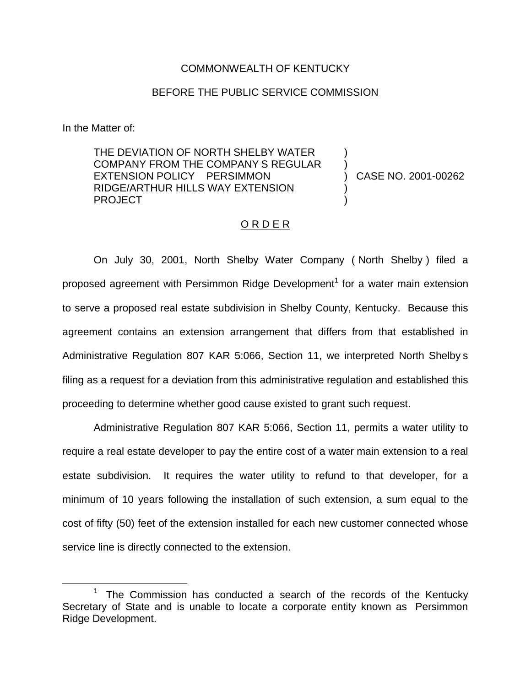## COMMONWEALTH OF KENTUCKY

## BEFORE THE PUBLIC SERVICE COMMISSION

In the Matter of:

THE DEVIATION OF NORTH SHELBY WATER COMPANY FROM THE COMPANY S REGULAR EXTENSION POLICY PERSIMMON RIDGE/ARTHUR HILLS WAY EXTENSION PROJECT

) CASE NO. 2001-00262

) )

) )

## O R D E R

On July 30, 2001, North Shelby Water Company ( North Shelby ) filed a proposed agreement with Persimmon Ridge Development<sup>1</sup> for a water main extension to serve a proposed real estate subdivision in Shelby County, Kentucky. Because this agreement contains an extension arrangement that differs from that established in Administrative Regulation 807 KAR 5:066, Section 11, we interpreted North Shelby s filing as a request for a deviation from this administrative regulation and established this proceeding to determine whether good cause existed to grant such request.

Administrative Regulation 807 KAR 5:066, Section 11, permits a water utility to require a real estate developer to pay the entire cost of a water main extension to a real estate subdivision. It requires the water utility to refund to that developer, for a minimum of 10 years following the installation of such extension, a sum equal to the cost of fifty (50) feet of the extension installed for each new customer connected whose service line is directly connected to the extension.

The Commission has conducted a search of the records of the Kentucky Secretary of State and is unable to locate a corporate entity known as Persimmon Ridge Development.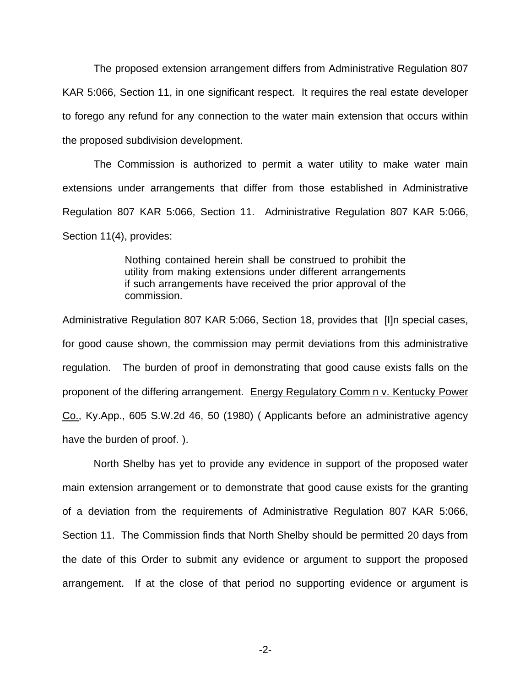The proposed extension arrangement differs from Administrative Regulation 807 KAR 5:066, Section 11, in one significant respect. It requires the real estate developer to forego any refund for any connection to the water main extension that occurs within the proposed subdivision development.

The Commission is authorized to permit a water utility to make water main extensions under arrangements that differ from those established in Administrative Regulation 807 KAR 5:066, Section 11. Administrative Regulation 807 KAR 5:066, Section 11(4), provides:

> Nothing contained herein shall be construed to prohibit the utility from making extensions under different arrangements if such arrangements have received the prior approval of the commission.

Administrative Regulation 807 KAR 5:066, Section 18, provides that [I]n special cases, for good cause shown, the commission may permit deviations from this administrative regulation. The burden of proof in demonstrating that good cause exists falls on the proponent of the differing arrangement. Energy Regulatory Comm n v. Kentucky Power Co., Ky.App., 605 S.W.2d 46, 50 (1980) ( Applicants before an administrative agency have the burden of proof. ).

North Shelby has yet to provide any evidence in support of the proposed water main extension arrangement or to demonstrate that good cause exists for the granting of a deviation from the requirements of Administrative Regulation 807 KAR 5:066, Section 11. The Commission finds that North Shelby should be permitted 20 days from the date of this Order to submit any evidence or argument to support the proposed arrangement. If at the close of that period no supporting evidence or argument is